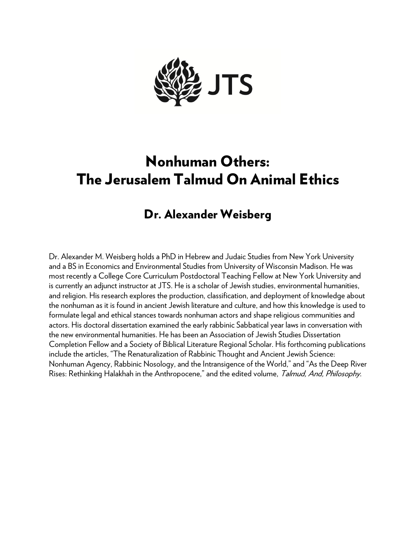

## Nonhuman Others: The Jerusalem Talmud On Animal Ethics

## Dr. Alexander Weisberg

Dr. Alexander M. Weisberg holds a PhD in Hebrew and Judaic Studies from New York University and a BS in Economics and Environmental Studies from University of Wisconsin Madison. He was most recently a College Core Curriculum Postdoctoral Teaching Fellow at New York University and is currently an adjunct instructor at JTS. He is a scholar of Jewish studies, environmental humanities, and religion. His research explores the production, classification, and deployment of knowledge about the nonhuman as it is found in ancient Jewish literature and culture, and how this knowledge is used to formulate legal and ethical stances towards nonhuman actors and shape religious communities and actors. His doctoral dissertation examined the early rabbinic Sabbatical year laws in conversation with the new environmental humanities. He has been an Association of Jewish Studies Dissertation Completion Fellow and a Society of Biblical Literature Regional Scholar. His forthcoming publications include the articles, "The Renaturalization of Rabbinic Thought and Ancient Jewish Science: Nonhuman Agency, Rabbinic Nosology, and the Intransigence of the World," and "As the Deep River Rises: Rethinking Halakhah in the Anthropocene," and the edited volume, Talmud, And, Philosophy.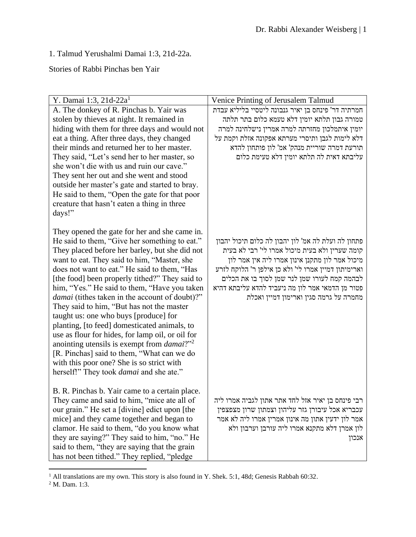1. Talmud Yerushalmi Damai 1:3, 21d-22a.

Stories of Rabbi Pinchas ben Yair

| Y. Damai 1:3, 21d-22a <sup>1</sup>                                                          | Venice Printing of Jerusalem Talmud                                                        |
|---------------------------------------------------------------------------------------------|--------------------------------------------------------------------------------------------|
| A. The donkey of R. Pinchas b. Yair was                                                     | חמרתיה דר' פינחס בן יאיר גנבונה ליטסיי בליליא עבדת                                         |
| stolen by thieves at night. It remained in                                                  | טמורה גבון תלתא יומין דלא טעמא כלום בתר תלתה                                               |
| hiding with them for three days and would not                                               | יומין איתמלכון מחזרתה למרה אמרין נישלחינה למרה                                             |
| eat a thing. After three days, they changed                                                 | דלא לימות לגבן ותיסרי מערתא אפקונה אזלת וקמת על                                            |
| their minds and returned her to her master.                                                 | תורעת דמרה שוריית מנהק' אמ' לון פותחון להדא                                                |
| They said, "Let's send her to her master, so                                                | עליבתא דאית לה תלתא יומין דלא טעימת כלום                                                   |
| she won't die with us and ruin our cave."                                                   |                                                                                            |
| They sent her out and she went and stood                                                    |                                                                                            |
| outside her master's gate and started to bray.                                              |                                                                                            |
| He said to them, "Open the gate for that poor                                               |                                                                                            |
| creature that hasn't eaten a thing in three                                                 |                                                                                            |
| days!"                                                                                      |                                                                                            |
|                                                                                             |                                                                                            |
| They opened the gate for her and she came in.                                               |                                                                                            |
| He said to them, "Give her something to eat."                                               | פתחון לה ועלת לה אמ' לון יהבון לה כלום תיכול יהבון                                         |
| They placed before her barley, but she did not                                              | קומה שערין ולא בעית מיכול אמרו לי' רבי לא בעית                                             |
| want to eat. They said to him, "Master, she                                                 | מיכול אמר לון מתקנן אינון אמרו ליה אין אמר לון                                             |
| does not want to eat." He said to them, "Has                                                | וארימיתון דמיין אמרו לי' ולא כן אילפן ר' הלוקח לזרע                                        |
| [the food] been properly tithed?" They said to                                              | לבהמה קמח לעורו שמן לנר שמן לסוך בו את הכלים                                               |
| him, "Yes." He said to them, "Have you taken                                                | פטור מן הדמאי אמר לון מה ניעביד להדא עליבתא דהיא<br>מחמרה על גרמה סגין וארימון דמיין ואכלת |
| damai (tithes taken in the account of doubt)?"<br>They said to him, "But has not the master |                                                                                            |
| taught us: one who buys [produce] for                                                       |                                                                                            |
| planting, [to feed] domesticated animals, to                                                |                                                                                            |
| use as flour for hides, for lamp oil, or oil for                                            |                                                                                            |
| anointing utensils is exempt from <i>damai</i> ?" <sup>2</sup>                              |                                                                                            |
| [R. Pinchas] said to them, "What can we do                                                  |                                                                                            |
| with this poor one? She is so strict with                                                   |                                                                                            |
| herself!" They took <i>damai</i> and she ate."                                              |                                                                                            |
|                                                                                             |                                                                                            |
| B. R. Pinchas b. Yair came to a certain place.                                              |                                                                                            |
| They came and said to him, "mice ate all of                                                 | רבי פינחס בן יאיר אזל לחד אתר אתון לגביה אמרו ליה                                          |
| our grain." He set a [divine] edict upon [the                                               | עכבריא אכל עיבורן גזר עליהון וצמתון שרון מצפצפין                                           |
| mice] and they came together and began to                                                   | אמר לון ידעין אתון מה אינון אמרין אמרו ליה לא אמר                                          |
| clamor. He said to them, "do you know what                                                  | לון אמרן דלא מתקנא אמרו ליה עורבן וערבון ולא                                               |
| they are saying?" They said to him, "no." He                                                | אנכון                                                                                      |
| said to them, "they are saying that the grain                                               |                                                                                            |
| has not been tithed." They replied, "pledge                                                 |                                                                                            |

<sup>&</sup>lt;sup>1</sup> All translations are my own. This story is also found in Y. Shek. 5:1, 48d; Genesis Rabbah 60:32.

<sup>2</sup> M. Dam. 1:3.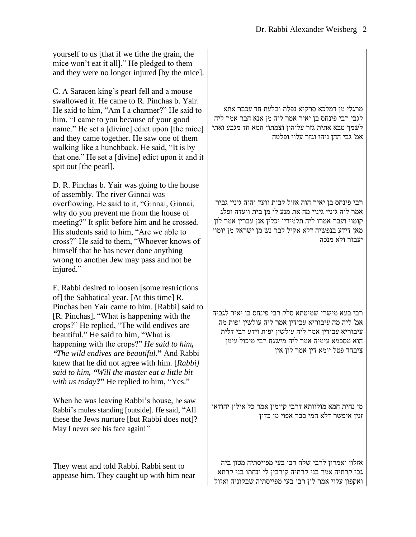| yourself to us [that if we tithe the grain, the<br>mice won't eat it all]." He pledged to them<br>and they were no longer injured [by the mice].                                                                                                                                                                                                                                                                                                                                                                                   |                                                                                                                                                                                                                                            |
|------------------------------------------------------------------------------------------------------------------------------------------------------------------------------------------------------------------------------------------------------------------------------------------------------------------------------------------------------------------------------------------------------------------------------------------------------------------------------------------------------------------------------------|--------------------------------------------------------------------------------------------------------------------------------------------------------------------------------------------------------------------------------------------|
| C. A Saracen king's pearl fell and a mouse<br>swallowed it. He came to R. Pinchas b. Yair.<br>He said to him, "Am I a charmer?" He said to<br>him, "I came to you because of your good<br>name." He set a [divine] edict upon [the mice]<br>and they came together. He saw one of them<br>walking like a hunchback. He said, "It is by<br>that one." He set a [divine] edict upon it and it<br>spit out [the pearl].                                                                                                               | מרגלי מן דמלכא סרקיא נפלת ובלעת חד עכבר אתא<br>לגבי רבי פינחס בן יאיר אמר ליה מן אנא חבר אמר ליה<br>לשמך טבא אתית גזר עליהון וצמתון חמא חד מגבע ואתי<br>אמ' גבי ההן ניהו וגזר עלוי ופלטה                                                   |
| D. R. Pinchas b. Yair was going to the house<br>of assembly. The river Ginnai was<br>overflowing. He said to it, "Ginnai, Ginnai,<br>why do you prevent me from the house of<br>meeting?" It split before him and he crossed.<br>His students said to him, "Are we able to<br>cross?" He said to them, "Whoever knows of<br>himself that he has never done anything<br>wrong to another Jew may pass and not be<br>injured."                                                                                                       | רבי פינחס בן יאיר הוה אזיל לבית וועד והוה גיניי גביר<br>אמר ליה גיניי גיניי מה את מנע לי מן בית וועדה ופלג<br>קומוי ועבר אמרו ליה תלמידיו יכלין אנן עברין אמר לון<br>מאן דידע בנפשיה דלא אקיל לבר נש מן ישראל מן יומוי<br>יעבור ולא מנכה   |
| E. Rabbi desired to loosen [some restrictions]<br>of] the Sabbatical year. [At this time] R.<br>Pinchas ben Yair came to him. [Rabbi] said to<br>[R. Pinchas], "What is happening with the<br>crops?" He replied, "The wild endives are<br>beautiful." He said to him, "What is<br>happening with the crops?" He said to him,<br><i>"The wild endives are beautiful."</i> And Rabbi<br>knew that he did not agree with him. [Rabbi]<br>said to him, "Will the master eat a little bit<br>with us today?" He replied to him, "Yes." | רבי בעא מישרי שמיטתא סלק רבי פינחס בן יאיר לגביה<br>אמ' ליה מה עיבוריא עבידין אמר ליה עולשין יפות מה<br>עיבוריא עבידין אמר ליה עולשין יפות וידע רבי דלית<br>הוא מסכמא עימיה אמר ליה מישגח רבי מיכול עימן<br>ציבחד פטל יומא דין אמר לון אין |
| When he was leaving Rabbi's house, he saw<br>Rabbi's mules standing [outside]. He said, "All<br>these the Jews nurture [but Rabbi does not]?<br>May I never see his face again!"                                                                                                                                                                                                                                                                                                                                                   | מי נחית חמא מולוותא דרבי קיימין אמר כל אילין יהודאי<br>זנין איפשר דלא חמי סבר אפוי מן כדון                                                                                                                                                 |
| They went and told Rabbi. Rabbi sent to<br>appease him. They caught up with him near                                                                                                                                                                                                                                                                                                                                                                                                                                               | אזלון ואמרון לרבי שלח רבי בעי מפייסתיה מטון ביה<br>גבי קרתיה אמר בני קרתיה קורבין לי ונחתו בני קרתא<br>ואקפון עלוי אמר לון רבי בעי מפייסתיה שבקוניה ואזול                                                                                  |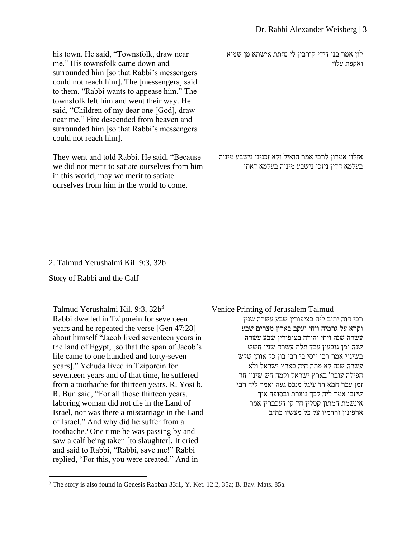| his town. He said, "Townsfolk, draw near       | לון אמר בני דידי קורבין לי נחתת אישתא מן שמיא     |
|------------------------------------------------|---------------------------------------------------|
| me." His townsfolk came down and               | ואקפת עלוי                                        |
| surrounded him [so that Rabbi's messengers     |                                                   |
| could not reach him]. The [messengers] said    |                                                   |
| to them, "Rabbi wants to appease him." The     |                                                   |
| townsfolk left him and went their way. He      |                                                   |
| said, "Children of my dear one [God], draw     |                                                   |
| near me." Fire descended from heaven and       |                                                   |
| surrounded him [so that Rabbi's messengers     |                                                   |
| could not reach him.                           |                                                   |
|                                                |                                                   |
| They went and told Rabbi. He said, "Because    | אזלון אמרון לרבי אמר הואיל ולא זכנינן נישבע מיניה |
| we did not merit to satiate ourselves from him | בעלמא הדין ניזכי נישבע מיניה בעלמא דאתי           |
| in this world, may we merit to satiate         |                                                   |
| ourselves from him in the world to come.       |                                                   |
|                                                |                                                   |
|                                                |                                                   |
|                                                |                                                   |
|                                                |                                                   |

## 2. Talmud Yerushalmi Kil. 9:3, 32b

Story of Rabbi and the Calf

| Talmud Yerushalmi Kil. 9:3, 32b <sup>3</sup>    | Venice Printing of Jerusalem Talmud        |
|-------------------------------------------------|--------------------------------------------|
| Rabbi dwelled in Tziporein for seventeen        | רבי הוה יתיב ליה בציפורין שבע עשרה שנין    |
| years and he repeated the verse [Gen 47:28]     | וקרא על גרמיה ויחי יעקב בארץ מצרים שבע     |
| about himself "Jacob lived seventeen years in   | עשרה שנה ויחי יהודה בציפורין שבע עשרה      |
| the land of Egypt, [so that the span of Jacob's | שנה ומן גובעין עבד תלת עשרה שנין חשש       |
| life came to one hundred and forty-seven        | בשינוי אמר רבי יוסי בי רבי בון כל אותן שלש |
| years]." Yehuda lived in Tziporein for          | עשרה שנה לא מתה חיה בארץ ישראל ולא         |
| seventeen years and of that time, he suffered   | הפילה עובר' בארץ ישראל ולמה חש שינוי חד    |
| from a toothache for thirteen years. R. Yosi b. | זמן עבר חמא חד עיגל מנכס געה ואמר ליה רבי  |
| R. Bun said, "For all those thirteen years,     | שיזבי אמר ליה לכך נוצרת ובסופה איך         |
| laboring woman did not die in the Land of       | אינשמת חמתון קטלין חד קן דעכברין אמר       |
| Israel, nor was there a miscarriage in the Land | ארפונון ורחמיו על כל מעשיו כתיב            |
| of Israel." And why did he suffer from a        |                                            |
| toothache? One time he was passing by and       |                                            |
| saw a calf being taken [to slaughter]. It cried |                                            |
| and said to Rabbi, "Rabbi, save me!" Rabbi      |                                            |
| replied, "For this, you were created." And in   |                                            |

<sup>3</sup> The story is also found in Genesis Rabbah 33:1, Y. Ket. 12:2, 35a; B. Bav. Mats. 85a.